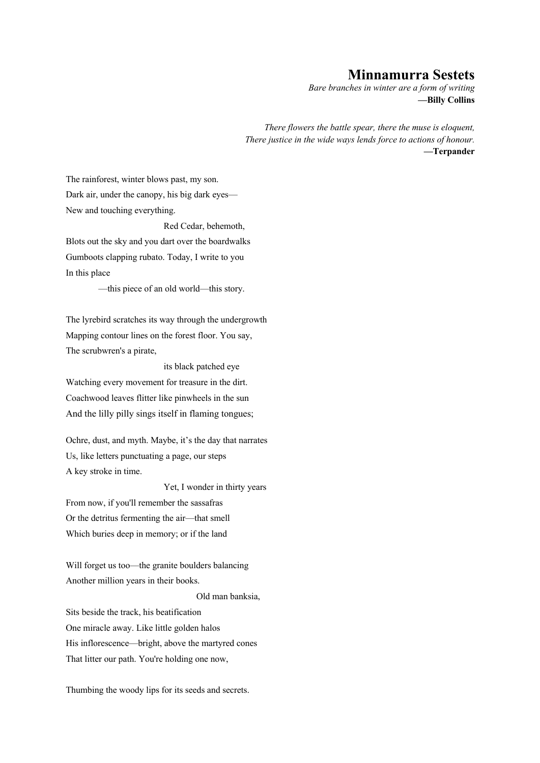## **Minnamurra Sestets**

*Bare branches in winter are a form of writing* **—Billy Collins**

*There flowers the battle spear, there the muse is eloquent, There justice in the wide ways lends force to actions of honour.* **—Terpander**

The rainforest, winter blows past, my son. Dark air, under the canopy, his big dark eyes— New and touching everything.

Red Cedar, behemoth, Blots out the sky and you dart over the boardwalks Gumboots clapping rubato. Today, I write to you In this place

—this piece of an old world—this story.

The lyrebird scratches its way through the undergrowth Mapping contour lines on the forest floor. You say, The scrubwren's a pirate,

its black patched eye Watching every movement for treasure in the dirt. Coachwood leaves flitter like pinwheels in the sun And the lilly pilly sings itself in flaming tongues;

Ochre, dust, and myth. Maybe, it's the day that narrates Us, like letters punctuating a page, our steps A key stroke in time.

Yet, I wonder in thirty years

From now, if you'll remember the sassafras Or the detritus fermenting the air—that smell Which buries deep in memory; or if the land

Will forget us too—the granite boulders balancing Another million years in their books.

Old man banksia,

Sits beside the track, his beatification One miracle away. Like little golden halos His inflorescence—bright, above the martyred cones That litter our path. You're holding one now,

Thumbing the woody lips for its seeds and secrets.